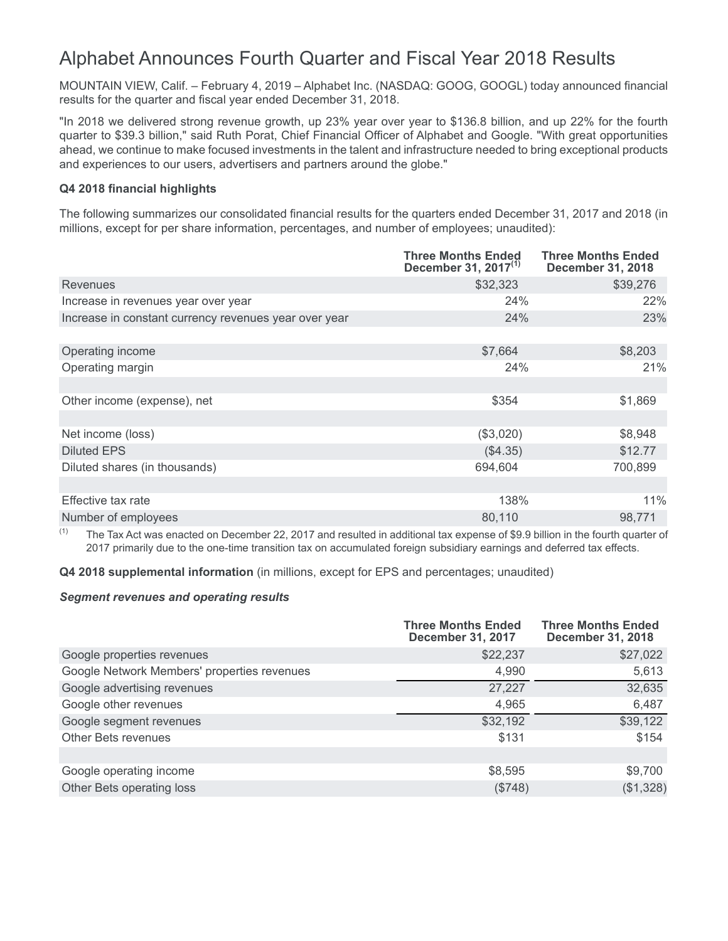# Alphabet Announces Fourth Quarter and Fiscal Year 2018 Results

MOUNTAIN VIEW, Calif. – February 4, 2019 – Alphabet Inc. (NASDAQ: GOOG, GOOGL) today announced financial results for the quarter and fiscal year ended December 31, 2018.

"In 2018 we delivered strong revenue growth, up 23% year over year to \$136.8 billion, and up 22% for the fourth quarter to \$39.3 billion," said Ruth Porat, Chief Financial Officer of Alphabet and Google. "With great opportunities ahead, we continue to make focused investments in the talent and infrastructure needed to bring exceptional products and experiences to our users, advertisers and partners around the globe."

## **Q4 2018 financial highlights**

The following summarizes our consolidated financial results for the quarters ended December 31, 2017 and 2018 (in millions, except for per share information, percentages, and number of employees; unaudited):

|                                                       | <b>Three Months Ended</b><br>December 31, 2017 <sup>(1)</sup> | <b>Three Months Ended</b><br><b>December 31, 2018</b> |
|-------------------------------------------------------|---------------------------------------------------------------|-------------------------------------------------------|
| Revenues                                              | \$32,323                                                      | \$39,276                                              |
| Increase in revenues year over year                   | 24%                                                           | 22%                                                   |
| Increase in constant currency revenues year over year | 24%                                                           | 23%                                                   |
|                                                       |                                                               |                                                       |
| Operating income                                      | \$7,664                                                       | \$8,203                                               |
| Operating margin                                      | 24%                                                           | 21%                                                   |
|                                                       |                                                               |                                                       |
| Other income (expense), net                           | \$354                                                         | \$1,869                                               |
|                                                       |                                                               |                                                       |
| Net income (loss)                                     | (\$3,020)                                                     | \$8,948                                               |
| <b>Diluted EPS</b>                                    | (\$4.35)                                                      | \$12.77                                               |
| Diluted shares (in thousands)                         | 694,604                                                       | 700,899                                               |
|                                                       |                                                               |                                                       |
| Effective tax rate                                    | 138%                                                          | 11%                                                   |
| Number of employees                                   | 80,110                                                        | 98,771                                                |

(1) The Tax Act was enacted on December 22, 2017 and resulted in additional tax expense of \$9.9 billion in the fourth quarter of 2017 primarily due to the one-time transition tax on accumulated foreign subsidiary earnings and deferred tax effects.

**Q4 2018 supplemental information** (in millions, except for EPS and percentages; unaudited)

### *Segment revenues and operating results*

|                                             | <b>Three Months Ended</b><br><b>December 31, 2017</b> | <b>Three Months Ended</b><br><b>December 31, 2018</b> |
|---------------------------------------------|-------------------------------------------------------|-------------------------------------------------------|
| Google properties revenues                  | \$22,237                                              | \$27,022                                              |
| Google Network Members' properties revenues | 4,990                                                 | 5,613                                                 |
| Google advertising revenues                 | 27,227                                                | 32,635                                                |
| Google other revenues                       | 4,965                                                 | 6,487                                                 |
| Google segment revenues                     | \$32,192                                              | \$39,122                                              |
| <b>Other Bets revenues</b>                  | \$131                                                 | \$154                                                 |
|                                             |                                                       |                                                       |
| Google operating income                     | \$8,595                                               | \$9,700                                               |
| Other Bets operating loss                   | (\$748)                                               | (\$1,328)                                             |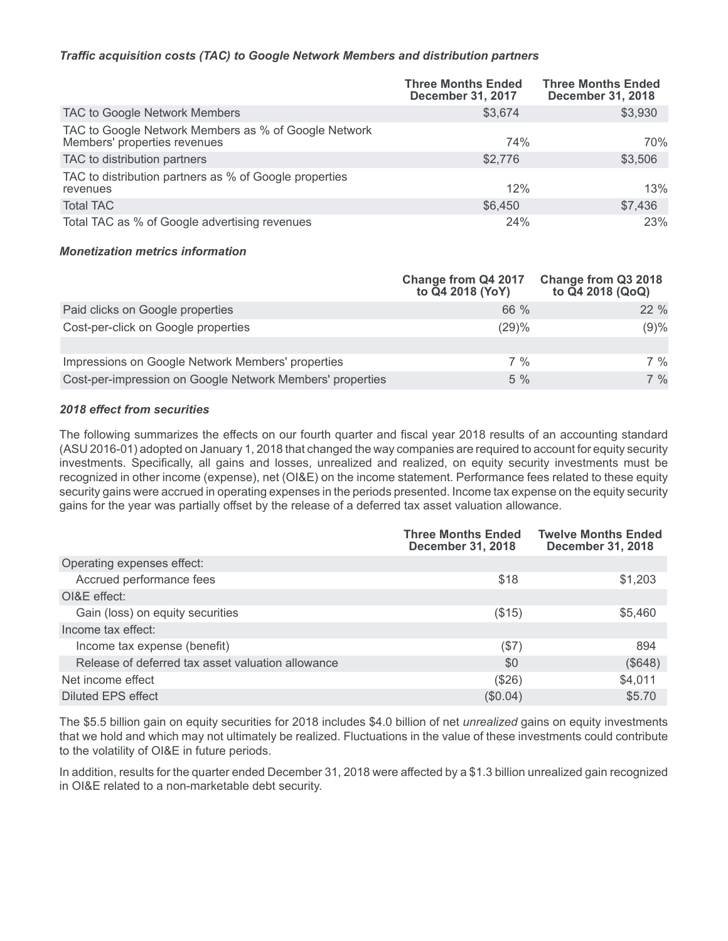## *Traffic acquisition costs (TAC) to Google Network Members and distribution partners*

|                                                                                      | <b>Three Months Ended</b><br><b>December 31, 2017</b> | <b>Three Months Ended</b><br><b>December 31, 2018</b> |
|--------------------------------------------------------------------------------------|-------------------------------------------------------|-------------------------------------------------------|
| TAC to Google Network Members                                                        | \$3,674                                               | \$3,930                                               |
| TAC to Google Network Members as % of Google Network<br>Members' properties revenues | 74%                                                   | 70%                                                   |
| TAC to distribution partners                                                         | \$2,776                                               | \$3,506                                               |
| TAC to distribution partners as % of Google properties<br>revenues                   | 12%                                                   | 13%                                                   |
| <b>Total TAC</b>                                                                     | \$6,450                                               | \$7,436                                               |
| Total TAC as % of Google advertising revenues                                        | 24%                                                   | 23%                                                   |

## *Monetization metrics information*

|                                                           | <b>Change from Q4 2017<br/>to Q4 2018 (YoY)</b> | Change from Q3 2018<br>to $\tilde{Q}4$ 2018 (QoQ) |
|-----------------------------------------------------------|-------------------------------------------------|---------------------------------------------------|
| Paid clicks on Google properties                          | 66 %                                            | $22\%$                                            |
| Cost-per-click on Google properties                       | (29)%                                           | (9)%                                              |
| Impressions on Google Network Members' properties         | $7\%$                                           | $7\%$                                             |
| Cost-per-impression on Google Network Members' properties | $5\%$                                           | $7\%$                                             |

## *2018 effect from securities*

The following summarizes the effects on our fourth quarter and fiscal year 2018 results of an accounting standard (ASU 2016-01) adopted on January 1, 2018 that changed the way companies are required to account for equity security investments. Specifically, all gains and losses, unrealized and realized, on equity security investments must be recognized in other income (expense), net (OI&E) on the income statement. Performance fees related to these equity security gains were accrued in operating expenses in the periods presented. Income tax expense on the equity security gains for the year was partially offset by the release of a deferred tax asset valuation allowance.

|                                                   | <b>Three Months Ended</b><br><b>December 31, 2018</b> | <b>Twelve Months Ended</b><br><b>December 31, 2018</b> |
|---------------------------------------------------|-------------------------------------------------------|--------------------------------------------------------|
| Operating expenses effect:                        |                                                       |                                                        |
| Accrued performance fees                          | \$18                                                  | \$1,203                                                |
| OI&E effect:                                      |                                                       |                                                        |
| Gain (loss) on equity securities                  | (\$15)                                                | \$5,460                                                |
| Income tax effect:                                |                                                       |                                                        |
| Income tax expense (benefit)                      | $(\$7)$                                               | 894                                                    |
| Release of deferred tax asset valuation allowance | \$0                                                   | (\$648)                                                |
| Net income effect                                 | (\$26)                                                | \$4,011                                                |
| Diluted EPS effect                                | (\$0.04)                                              | \$5.70                                                 |

The \$5.5 billion gain on equity securities for 2018 includes \$4.0 billion of net *unrealized* gains on equity investments that we hold and which may not ultimately be realized. Fluctuations in the value of these investments could contribute to the volatility of OI&E in future periods.

In addition, results for the quarter ended December 31, 2018 were affected by a \$1.3 billion unrealized gain recognized in OI&E related to a non-marketable debt security.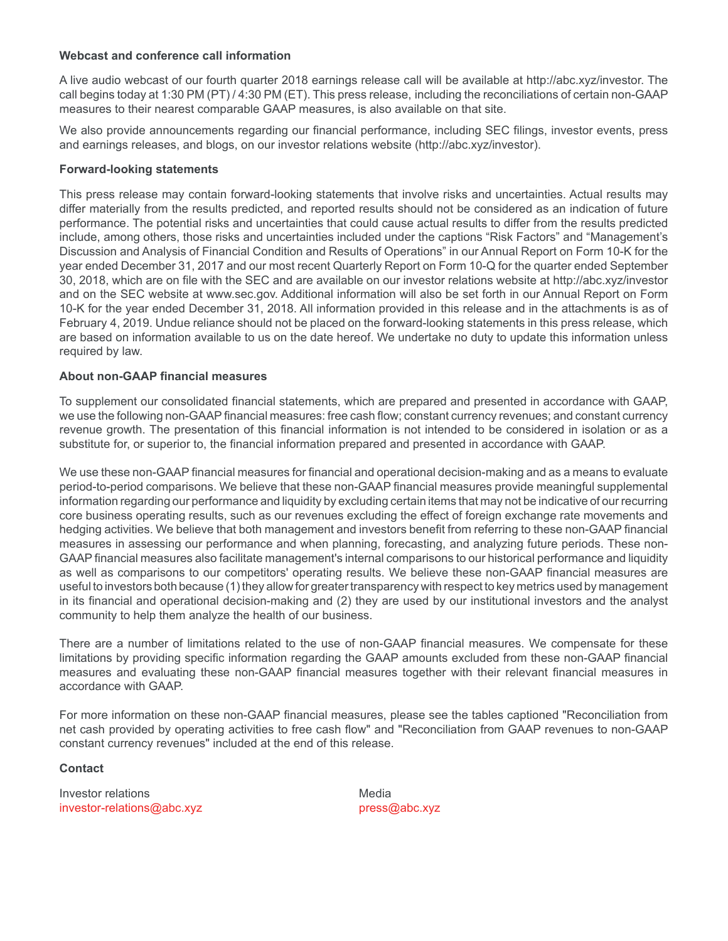## **Webcast and conference call information**

A live audio webcast of our fourth quarter 2018 earnings release call will be available at http://abc.xyz/investor. The call begins today at 1:30 PM (PT) / 4:30 PM (ET). This press release, including the reconciliations of certain non-GAAP measures to their nearest comparable GAAP measures, is also available on that site.

We also provide announcements regarding our financial performance, including SEC filings, investor events, press and earnings releases, and blogs, on our investor relations website (http://abc.xyz/investor).

## **Forward-looking statements**

This press release may contain forward-looking statements that involve risks and uncertainties. Actual results may differ materially from the results predicted, and reported results should not be considered as an indication of future performance. The potential risks and uncertainties that could cause actual results to differ from the results predicted include, among others, those risks and uncertainties included under the captions "Risk Factors" and "Management's Discussion and Analysis of Financial Condition and Results of Operations" in our Annual Report on Form 10-K for the year ended December 31, 2017 and our most recent Quarterly Report on Form 10-Q for the quarter ended September 30, 2018, which are on file with the SEC and are available on our investor relations website at http://abc.xyz/investor and on the SEC website at www.sec.gov. Additional information will also be set forth in our Annual Report on Form 10-K for the year ended December 31, 2018. All information provided in this release and in the attachments is as of February 4, 2019. Undue reliance should not be placed on the forward-looking statements in this press release, which are based on information available to us on the date hereof. We undertake no duty to update this information unless required by law.

## **About non-GAAP financial measures**

To supplement our consolidated financial statements, which are prepared and presented in accordance with GAAP, we use the following non-GAAPfinancial measures: free cash flow; constant currency revenues; and constant currency revenue growth. The presentation of this financial information is not intended to be considered in isolation or as a substitute for, or superior to, the financial information prepared and presented in accordance with GAAP.

We use these non-GAAP financial measures for financial and operational decision-making and as a means to evaluate period-to-period comparisons. We believe that these non-GAAP financial measures provide meaningful supplemental information regarding our performance and liquidity by excluding certain items that may not be indicative of our recurring core business operating results, such as our revenues excluding the effect of foreign exchange rate movements and hedging activities. We believe that both management and investors benefit from referring to these non-GAAP financial measures in assessing our performance and when planning, forecasting, and analyzing future periods. These non-GAAP financial measures also facilitate management's internal comparisons to our historical performance and liquidity as well as comparisons to our competitors' operating results. We believe these non-GAAP financial measures are useful to investors both because (1) they allow for greater transparency with respect to key metrics used by management in its financial and operational decision-making and (2) they are used by our institutional investors and the analyst community to help them analyze the health of our business.

There are a number of limitations related to the use of non-GAAP financial measures. We compensate for these limitations by providing specific information regarding the GAAP amounts excluded from these non-GAAP financial measures and evaluating these non-GAAP financial measures together with their relevant financial measures in accordance with GAAP.

For more information on these non-GAAP financial measures, please see the tables captioned "Reconciliation from net cash provided by operating activities to free cash flow" and "Reconciliation from GAAP revenues to non-GAAP constant currency revenues" included at the end of this release.

**Contact**

Investor relations and the matter of the Media investor-relations@abc.xyz press@abc.xyz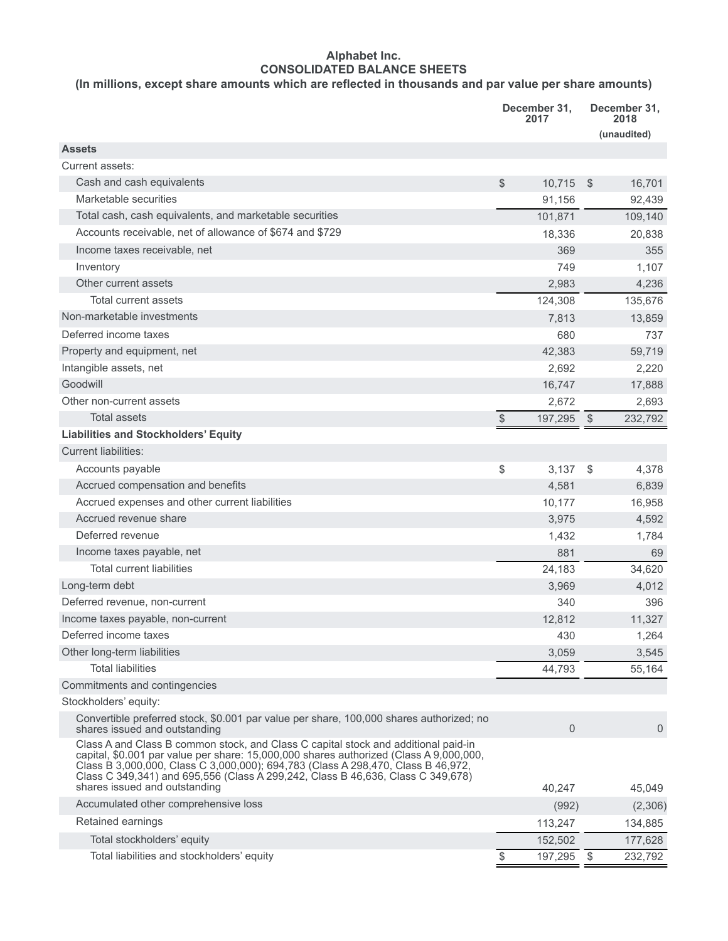## **Alphabet Inc. CONSOLIDATED BALANCE SHEETS**

## **(In millions, except share amounts which are reflected in thousands and par value per share amounts)**

|                                                                                                                                                                                                                                                                                                                                                     | December 31,<br>2017 |             |               | December 31,<br>2018<br>(unaudited) |  |  |
|-----------------------------------------------------------------------------------------------------------------------------------------------------------------------------------------------------------------------------------------------------------------------------------------------------------------------------------------------------|----------------------|-------------|---------------|-------------------------------------|--|--|
| <b>Assets</b>                                                                                                                                                                                                                                                                                                                                       |                      |             |               |                                     |  |  |
| Current assets:                                                                                                                                                                                                                                                                                                                                     |                      |             |               |                                     |  |  |
| Cash and cash equivalents                                                                                                                                                                                                                                                                                                                           | $\mathcal{L}$        | 10,715      | $\mathcal{L}$ | 16,701                              |  |  |
| Marketable securities                                                                                                                                                                                                                                                                                                                               |                      | 91,156      |               | 92,439                              |  |  |
| Total cash, cash equivalents, and marketable securities                                                                                                                                                                                                                                                                                             |                      | 101,871     |               | 109,140                             |  |  |
| Accounts receivable, net of allowance of \$674 and \$729                                                                                                                                                                                                                                                                                            |                      | 18,336      |               | 20,838                              |  |  |
| Income taxes receivable, net                                                                                                                                                                                                                                                                                                                        |                      | 369         |               | 355                                 |  |  |
| Inventory                                                                                                                                                                                                                                                                                                                                           |                      | 749         |               | 1,107                               |  |  |
| Other current assets                                                                                                                                                                                                                                                                                                                                |                      | 2,983       |               | 4,236                               |  |  |
| Total current assets                                                                                                                                                                                                                                                                                                                                |                      | 124,308     |               | 135,676                             |  |  |
| Non-marketable investments                                                                                                                                                                                                                                                                                                                          |                      | 7,813       |               | 13,859                              |  |  |
| Deferred income taxes                                                                                                                                                                                                                                                                                                                               |                      | 680         |               | 737                                 |  |  |
| Property and equipment, net                                                                                                                                                                                                                                                                                                                         |                      | 42,383      |               | 59,719                              |  |  |
| Intangible assets, net                                                                                                                                                                                                                                                                                                                              |                      | 2,692       |               | 2,220                               |  |  |
| Goodwill                                                                                                                                                                                                                                                                                                                                            |                      | 16,747      |               | 17,888                              |  |  |
| Other non-current assets                                                                                                                                                                                                                                                                                                                            |                      | 2,672       |               | 2,693                               |  |  |
| <b>Total assets</b>                                                                                                                                                                                                                                                                                                                                 | $\frac{1}{2}$        | 197,295     | $\$\$         | 232,792                             |  |  |
| <b>Liabilities and Stockholders' Equity</b>                                                                                                                                                                                                                                                                                                         |                      |             |               |                                     |  |  |
| <b>Current liabilities:</b>                                                                                                                                                                                                                                                                                                                         |                      |             |               |                                     |  |  |
| Accounts payable                                                                                                                                                                                                                                                                                                                                    | \$                   | 3,137       | \$            | 4,378                               |  |  |
| Accrued compensation and benefits                                                                                                                                                                                                                                                                                                                   |                      | 4,581       |               | 6,839                               |  |  |
| Accrued expenses and other current liabilities                                                                                                                                                                                                                                                                                                      |                      | 10,177      |               | 16,958                              |  |  |
| Accrued revenue share                                                                                                                                                                                                                                                                                                                               |                      | 3,975       |               | 4,592                               |  |  |
| Deferred revenue                                                                                                                                                                                                                                                                                                                                    |                      | 1,432       |               | 1,784                               |  |  |
| Income taxes payable, net                                                                                                                                                                                                                                                                                                                           |                      | 881         |               | 69                                  |  |  |
| <b>Total current liabilities</b>                                                                                                                                                                                                                                                                                                                    |                      | 24,183      |               | 34,620                              |  |  |
| Long-term debt                                                                                                                                                                                                                                                                                                                                      |                      | 3,969       |               | 4,012                               |  |  |
| Deferred revenue, non-current                                                                                                                                                                                                                                                                                                                       |                      | 340         |               | 396                                 |  |  |
| Income taxes payable, non-current                                                                                                                                                                                                                                                                                                                   |                      | 12,812      |               | 11,327                              |  |  |
| Deferred income taxes                                                                                                                                                                                                                                                                                                                               |                      | 430         |               | 1,264                               |  |  |
| Other long-term liabilities                                                                                                                                                                                                                                                                                                                         |                      | 3,059       |               | 3,545                               |  |  |
| <b>Total liabilities</b>                                                                                                                                                                                                                                                                                                                            |                      | 44,793      |               | 55,164                              |  |  |
| Commitments and contingencies                                                                                                                                                                                                                                                                                                                       |                      |             |               |                                     |  |  |
| Stockholders' equity:                                                                                                                                                                                                                                                                                                                               |                      |             |               |                                     |  |  |
| Convertible preferred stock, \$0.001 par value per share, 100,000 shares authorized; no<br>shares issued and outstanding                                                                                                                                                                                                                            |                      | $\mathbf 0$ |               | $\mathbf 0$                         |  |  |
| Class A and Class B common stock, and Class C capital stock and additional paid-in<br>capital, \$0.001 par value per share: 15,000,000 shares authorized (Class A 9,000,000,<br>Class B 3,000,000, Class C 3,000,000); 694,783 (Class A 298,470, Class B 46,972,<br>Class C 349,341) and 695,556 (Class A 299,242, Class B 46,636, Class C 349,678) |                      |             |               |                                     |  |  |
| shares issued and outstanding<br>Accumulated other comprehensive loss                                                                                                                                                                                                                                                                               |                      | 40,247      |               | 45,049                              |  |  |
|                                                                                                                                                                                                                                                                                                                                                     |                      | (992)       |               | (2,306)                             |  |  |
| Retained earnings                                                                                                                                                                                                                                                                                                                                   |                      | 113,247     |               | 134,885                             |  |  |
| Total stockholders' equity                                                                                                                                                                                                                                                                                                                          |                      | 152,502     |               | 177,628                             |  |  |
| Total liabilities and stockholders' equity                                                                                                                                                                                                                                                                                                          | $\$\$                | 197,295     | \$            | 232,792                             |  |  |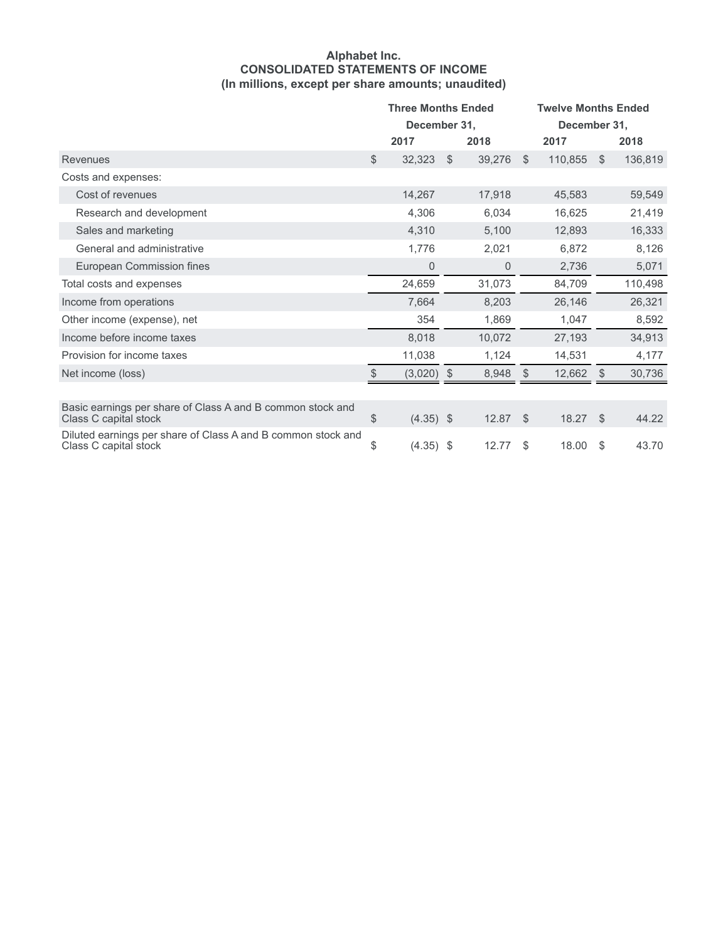## **Alphabet Inc. CONSOLIDATED STATEMENTS OF INCOME (In millions, except per share amounts; unaudited)**

|                                                                                       |               | <b>Three Months Ended</b><br>December 31, |               |        |               | <b>Twelve Months Ended</b><br>December 31, |               |         |  |
|---------------------------------------------------------------------------------------|---------------|-------------------------------------------|---------------|--------|---------------|--------------------------------------------|---------------|---------|--|
|                                                                                       |               | 2017                                      |               | 2018   |               | 2017                                       |               | 2018    |  |
| Revenues                                                                              | \$            | 32,323                                    | $\mathbb{S}$  | 39,276 | $\mathcal{S}$ | 110,855                                    | $\mathbb{S}$  | 136,819 |  |
| Costs and expenses:                                                                   |               |                                           |               |        |               |                                            |               |         |  |
| Cost of revenues                                                                      |               | 14,267                                    |               | 17,918 |               | 45,583                                     |               | 59,549  |  |
| Research and development                                                              |               | 4,306                                     |               | 6,034  |               | 16,625                                     |               | 21,419  |  |
| Sales and marketing                                                                   |               | 4,310                                     |               | 5,100  |               | 12,893                                     |               | 16,333  |  |
| General and administrative                                                            |               | 1,776                                     |               | 2,021  |               | 6,872                                      |               | 8,126   |  |
| European Commission fines                                                             |               | $\mathbf{0}$                              |               | 0      |               | 2,736                                      |               | 5,071   |  |
| Total costs and expenses                                                              |               | 24,659                                    |               | 31,073 |               | 84,709                                     |               | 110,498 |  |
| Income from operations                                                                |               | 7,664                                     |               | 8,203  |               | 26,146                                     |               | 26,321  |  |
| Other income (expense), net                                                           |               | 354                                       |               | 1,869  |               | 1,047                                      |               | 8,592   |  |
| Income before income taxes                                                            |               | 8,018                                     |               | 10,072 |               | 27,193                                     |               | 34,913  |  |
| Provision for income taxes                                                            |               | 11,038                                    |               | 1,124  |               | 14,531                                     |               | 4,177   |  |
| Net income (loss)                                                                     | $\mathcal{S}$ | (3,020)                                   | $\mathcal{L}$ | 8,948  | $\mathcal{L}$ | 12,662                                     | $\mathcal{L}$ | 30,736  |  |
|                                                                                       |               |                                           |               |        |               |                                            |               |         |  |
| Basic earnings per share of Class A and B common stock and<br>Class C capital stock   | \$            | $(4.35)$ \$                               |               | 12.87  | $\mathcal{S}$ | 18.27                                      | -\$           | 44.22   |  |
| Diluted earnings per share of Class A and B common stock and<br>Class C capital stock | \$            | $(4.35)$ \$                               |               | 12.77  | \$            | 18.00                                      | \$            | 43.70   |  |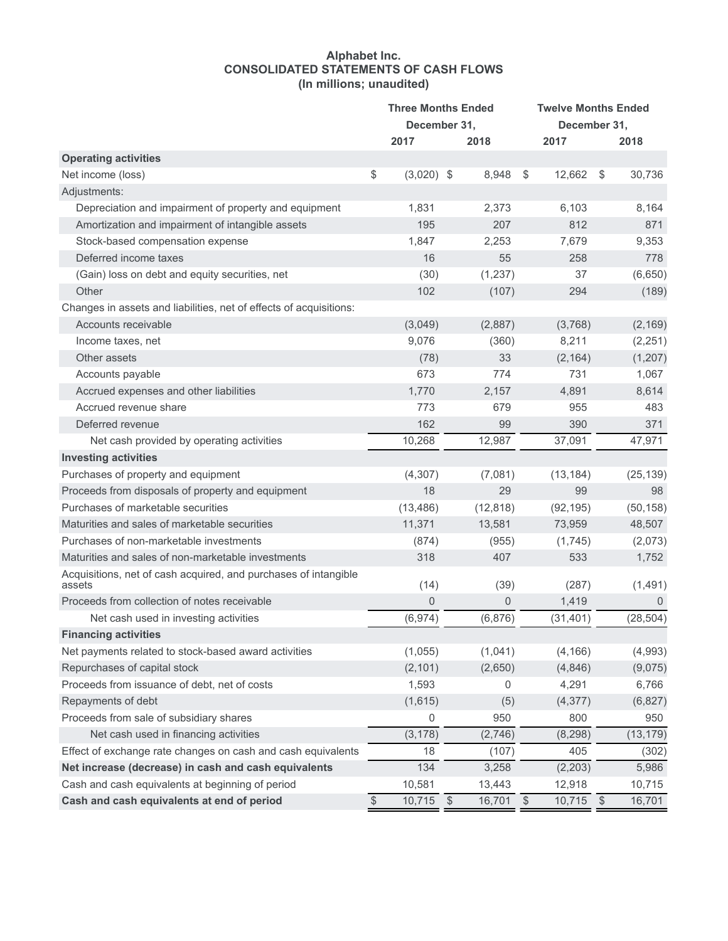## **Alphabet Inc. CONSOLIDATED STATEMENTS OF CASH FLOWS (In millions; unaudited)**

|                                                                           |                         | <b>Three Months Ended</b> |               |             |               | <b>Twelve Months Ended</b> |               |             |  |  |
|---------------------------------------------------------------------------|-------------------------|---------------------------|---------------|-------------|---------------|----------------------------|---------------|-------------|--|--|
|                                                                           |                         | December 31,              |               |             |               | December 31,               |               |             |  |  |
|                                                                           |                         | 2017                      |               | 2018        |               | 2017                       |               | 2018        |  |  |
| <b>Operating activities</b>                                               |                         |                           |               |             |               |                            |               |             |  |  |
| Net income (loss)                                                         | \$                      | $(3,020)$ \$              |               | 8,948       | $\sqrt[6]{2}$ | 12,662                     | $\mathcal{L}$ | 30,736      |  |  |
| Adjustments:                                                              |                         |                           |               |             |               |                            |               |             |  |  |
| Depreciation and impairment of property and equipment                     |                         | 1,831                     |               | 2,373       |               | 6,103                      |               | 8,164       |  |  |
| Amortization and impairment of intangible assets                          |                         | 195                       |               | 207         |               | 812                        |               | 871         |  |  |
| Stock-based compensation expense                                          |                         | 1,847                     |               | 2,253       |               | 7,679                      |               | 9,353       |  |  |
| Deferred income taxes                                                     |                         | 16                        |               | 55          |               | 258                        |               | 778         |  |  |
| (Gain) loss on debt and equity securities, net                            |                         | (30)                      |               | (1, 237)    |               | 37                         |               | (6,650)     |  |  |
| Other                                                                     |                         | 102                       |               | (107)       |               | 294                        |               | (189)       |  |  |
| Changes in assets and liabilities, net of effects of acquisitions:        |                         |                           |               |             |               |                            |               |             |  |  |
| Accounts receivable                                                       |                         | (3,049)                   |               | (2,887)     |               | (3,768)                    |               | (2, 169)    |  |  |
| Income taxes, net                                                         |                         | 9,076                     |               | (360)       |               | 8,211                      |               | (2, 251)    |  |  |
| Other assets                                                              |                         | (78)                      |               | 33          |               | (2, 164)                   |               | (1, 207)    |  |  |
| Accounts payable                                                          |                         | 673                       |               | 774         |               | 731                        |               | 1,067       |  |  |
| Accrued expenses and other liabilities                                    |                         | 1,770                     |               | 2,157       |               | 4,891                      |               | 8,614       |  |  |
| Accrued revenue share                                                     |                         | 773                       |               | 679         |               | 955                        |               | 483         |  |  |
| Deferred revenue                                                          |                         | 162                       |               | 99          |               | 390                        |               | 371         |  |  |
| Net cash provided by operating activities                                 |                         | 10,268                    |               | 12,987      |               | 37,091                     |               | 47,971      |  |  |
| <b>Investing activities</b>                                               |                         |                           |               |             |               |                            |               |             |  |  |
| Purchases of property and equipment                                       |                         | (4, 307)                  |               | (7,081)     |               | (13, 184)                  |               | (25, 139)   |  |  |
| Proceeds from disposals of property and equipment                         |                         | 18                        |               | 29          |               | 99                         |               | 98          |  |  |
| Purchases of marketable securities                                        |                         | (13, 486)                 |               | (12, 818)   |               | (92, 195)                  |               | (50, 158)   |  |  |
| Maturities and sales of marketable securities                             |                         | 11,371                    |               | 13,581      |               | 73,959                     |               | 48,507      |  |  |
| Purchases of non-marketable investments                                   |                         | (874)                     |               | (955)       |               | (1,745)                    |               | (2,073)     |  |  |
| Maturities and sales of non-marketable investments                        |                         | 318                       |               | 407         |               | 533                        |               | 1,752       |  |  |
| Acquisitions, net of cash acquired, and purchases of intangible<br>assets |                         | (14)                      |               | (39)        |               | (287)                      |               | (1, 491)    |  |  |
| Proceeds from collection of notes receivable                              |                         | $\mathbf 0$               |               | $\mathbf 0$ |               | 1,419                      |               | $\mathbf 0$ |  |  |
| Net cash used in investing activities                                     |                         | (6,974)                   |               | (6,876)     |               | (31, 401)                  |               | (28, 504)   |  |  |
| <b>Financing activities</b>                                               |                         |                           |               |             |               |                            |               |             |  |  |
| Net payments related to stock-based award activities                      |                         | (1,055)                   |               | (1,041)     |               | (4, 166)                   |               | (4,993)     |  |  |
| Repurchases of capital stock                                              |                         | (2, 101)                  |               | (2,650)     |               | (4,846)                    |               | (9,075)     |  |  |
| Proceeds from issuance of debt, net of costs                              |                         | 1,593                     |               | 0           |               | 4,291                      |               | 6,766       |  |  |
| Repayments of debt                                                        |                         | (1,615)                   |               | (5)         |               | (4, 377)                   |               | (6,827)     |  |  |
| Proceeds from sale of subsidiary shares                                   |                         | $\mathbf 0$               |               | 950         |               | 800                        |               | 950         |  |  |
| Net cash used in financing activities                                     |                         | (3, 178)                  |               | (2,746)     |               | (8, 298)                   |               | (13, 179)   |  |  |
| Effect of exchange rate changes on cash and cash equivalents              |                         | 18                        |               | (107)       |               | 405                        |               | (302)       |  |  |
| Net increase (decrease) in cash and cash equivalents                      |                         | 134                       |               | 3,258       |               | (2, 203)                   |               | 5,986       |  |  |
| Cash and cash equivalents at beginning of period                          |                         | 10,581                    |               | 13,443      |               | 12,918                     |               | 10,715      |  |  |
| Cash and cash equivalents at end of period                                | $\sqrt[6]{\frac{1}{2}}$ | 10,715                    | $\sqrt[6]{5}$ | 16,701      | $\sqrt{2}$    | 10,715                     | $\sqrt{3}$    | 16,701      |  |  |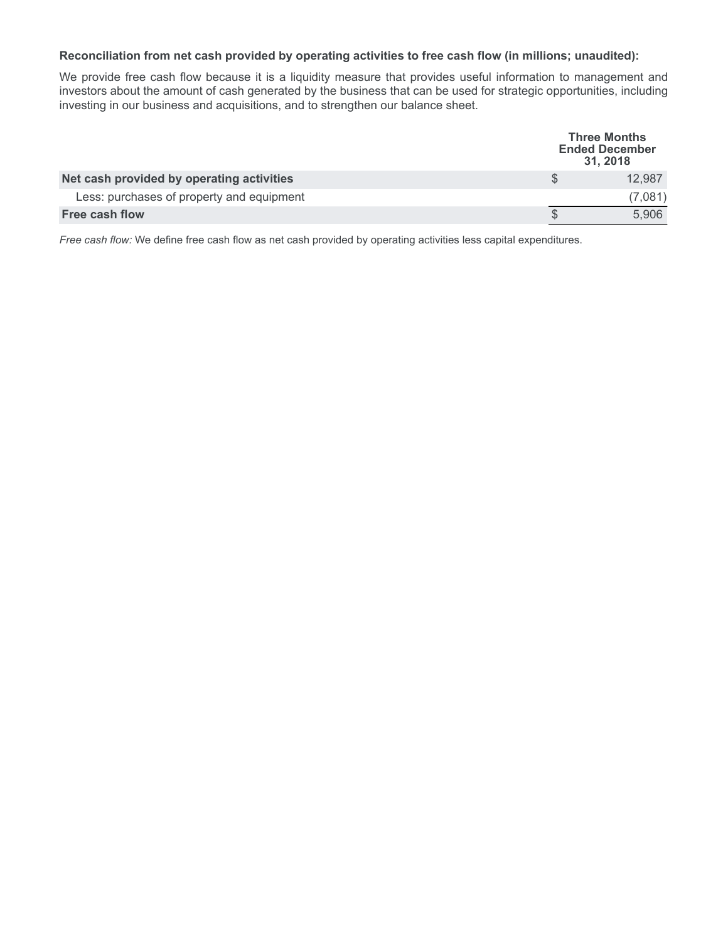## **Reconciliation from net cash provided by operating activities to free cash flow (in millions; unaudited):**

We provide free cash flow because it is a liquidity measure that provides useful information to management and investors about the amount of cash generated by the business that can be used for strategic opportunities, including investing in our business and acquisitions, and to strengthen our balance sheet.

|                                           | <b>Three Months</b><br><b>Ended December</b><br>31.2018 |  |  |
|-------------------------------------------|---------------------------------------------------------|--|--|
| Net cash provided by operating activities | 12.987                                                  |  |  |
| Less: purchases of property and equipment | (7,081)                                                 |  |  |
| Free cash flow                            | 5.906                                                   |  |  |

*Free cash flow:* We define free cash flow as net cash provided by operating activities less capital expenditures.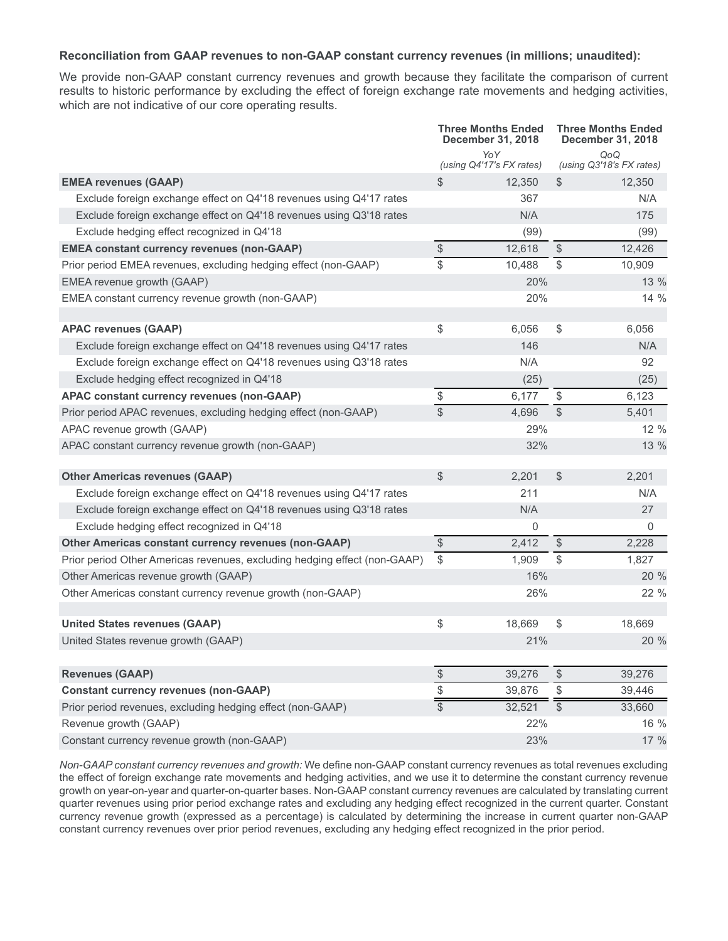### **Reconciliation from GAAP revenues to non-GAAP constant currency revenues (in millions; unaudited):**

We provide non-GAAP constant currency revenues and growth because they facilitate the comparison of current results to historic performance by excluding the effect of foreign exchange rate movements and hedging activities, which are not indicative of our core operating results.

|                                                                           |                                               | <b>Three Months Ended</b><br>December 31, 2018 | <b>Three Months Ended</b><br><b>December 31, 2018</b> |                                 |  |
|---------------------------------------------------------------------------|-----------------------------------------------|------------------------------------------------|-------------------------------------------------------|---------------------------------|--|
|                                                                           |                                               | YoY<br>(using Q4'17's FX rates)                |                                                       | QoQ<br>(using Q3'18's FX rates) |  |
| <b>EMEA revenues (GAAP)</b>                                               | $\sqrt[6]{\frac{1}{2}}$                       | 12,350                                         | \$                                                    | 12,350                          |  |
| Exclude foreign exchange effect on Q4'18 revenues using Q4'17 rates       |                                               | 367                                            |                                                       | N/A                             |  |
| Exclude foreign exchange effect on Q4'18 revenues using Q3'18 rates       |                                               | N/A                                            |                                                       | 175                             |  |
| Exclude hedging effect recognized in Q4'18                                |                                               | (99)                                           |                                                       | (99)                            |  |
| <b>EMEA constant currency revenues (non-GAAP)</b>                         | $\mathbb{S}$                                  | 12,618                                         | \$                                                    | 12,426                          |  |
| Prior period EMEA revenues, excluding hedging effect (non-GAAP)           | $\overline{\mathcal{S}}$                      | 10,488                                         | \$                                                    | 10,909                          |  |
| EMEA revenue growth (GAAP)                                                |                                               | 20%                                            |                                                       | 13 %                            |  |
| EMEA constant currency revenue growth (non-GAAP)                          |                                               | 20%                                            |                                                       | 14 %                            |  |
| <b>APAC revenues (GAAP)</b>                                               | $\$\$                                         | 6,056                                          | \$                                                    | 6,056                           |  |
| Exclude foreign exchange effect on Q4'18 revenues using Q4'17 rates       |                                               | 146                                            |                                                       | N/A                             |  |
| Exclude foreign exchange effect on Q4'18 revenues using Q3'18 rates       |                                               | N/A                                            |                                                       | 92                              |  |
| Exclude hedging effect recognized in Q4'18                                |                                               | (25)                                           |                                                       | (25)                            |  |
| <b>APAC constant currency revenues (non-GAAP)</b>                         | $\,$                                          | 6,177                                          | \$                                                    | 6,123                           |  |
| Prior period APAC revenues, excluding hedging effect (non-GAAP)           | $\mathbb{S}$                                  | 4,696                                          | $\mathcal{S}$                                         | 5,401                           |  |
| APAC revenue growth (GAAP)                                                |                                               | 29%                                            |                                                       | 12 %                            |  |
| APAC constant currency revenue growth (non-GAAP)                          |                                               | 32%                                            |                                                       | 13 %                            |  |
| <b>Other Americas revenues (GAAP)</b>                                     | $\mathbb{S}$                                  | 2,201                                          | \$                                                    | 2,201                           |  |
| Exclude foreign exchange effect on Q4'18 revenues using Q4'17 rates       |                                               | 211                                            |                                                       | N/A                             |  |
| Exclude foreign exchange effect on Q4'18 revenues using Q3'18 rates       |                                               | N/A                                            |                                                       | 27                              |  |
| Exclude hedging effect recognized in Q4'18                                |                                               | 0                                              |                                                       | $\Omega$                        |  |
| Other Americas constant currency revenues (non-GAAP)                      | $\$\$                                         | 2,412                                          | \$                                                    | 2,228                           |  |
| Prior period Other Americas revenues, excluding hedging effect (non-GAAP) | $\mathbb{S}$                                  | 1,909                                          | \$                                                    | 1,827                           |  |
| Other Americas revenue growth (GAAP)                                      |                                               | 16%                                            |                                                       | 20 %                            |  |
| Other Americas constant currency revenue growth (non-GAAP)                |                                               | 26%                                            |                                                       | 22 %                            |  |
| <b>United States revenues (GAAP)</b>                                      | \$                                            | 18,669                                         | \$                                                    | 18,669                          |  |
| United States revenue growth (GAAP)                                       |                                               | 21%                                            |                                                       | 20 %                            |  |
| <b>Revenues (GAAP)</b>                                                    | $\, \, \raisebox{12pt}{$\scriptstyle \circ$}$ | 39,276                                         | $\frac{1}{2}$                                         | 39,276                          |  |
| <b>Constant currency revenues (non-GAAP)</b>                              | $\,$                                          | 39,876                                         | \$                                                    | 39,446                          |  |
| Prior period revenues, excluding hedging effect (non-GAAP)                | $\frac{1}{3}$                                 | 32,521                                         | $\mathcal{S}$                                         | 33,660                          |  |
| Revenue growth (GAAP)                                                     |                                               | 22%                                            |                                                       | 16 %                            |  |
| Constant currency revenue growth (non-GAAP)                               |                                               | 23%                                            |                                                       | 17 %                            |  |

*Non-GAAP constant currency revenues and growth:* We define non-GAAP constant currency revenues as total revenues excluding the effect of foreign exchange rate movements and hedging activities, and we use it to determine the constant currency revenue growth on year-on-year and quarter-on-quarter bases. Non-GAAP constant currency revenues are calculated by translating current quarter revenues using prior period exchange rates and excluding any hedging effect recognized in the current quarter. Constant currency revenue growth (expressed as a percentage) is calculated by determining the increase in current quarter non-GAAP constant currency revenues over prior period revenues, excluding any hedging effect recognized in the prior period.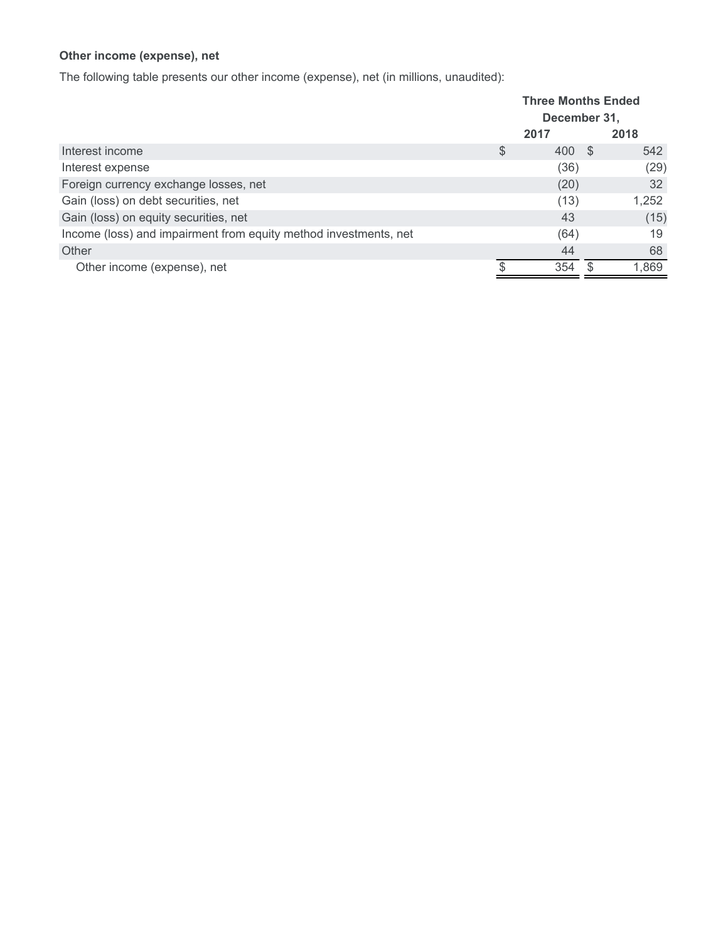# **Other income (expense), net**

The following table presents our other income (expense), net (in millions, unaudited):

|                                                                  | <b>Three Months Ended</b><br>December 31, |      |      |       |  |
|------------------------------------------------------------------|-------------------------------------------|------|------|-------|--|
|                                                                  |                                           | 2017 |      | 2018  |  |
| Interest income                                                  | $\frac{1}{2}$                             | 400  | - \$ | 542   |  |
| Interest expense                                                 |                                           | (36) |      | (29)  |  |
| Foreign currency exchange losses, net                            |                                           | (20) |      | 32    |  |
| Gain (loss) on debt securities, net                              |                                           | (13) |      | 1,252 |  |
| Gain (loss) on equity securities, net                            |                                           | 43   |      | (15)  |  |
| Income (loss) and impairment from equity method investments, net |                                           | (64) |      | 19    |  |
| Other                                                            |                                           | 44   |      | 68    |  |
| Other income (expense), net                                      |                                           | 354  |      | 1,869 |  |